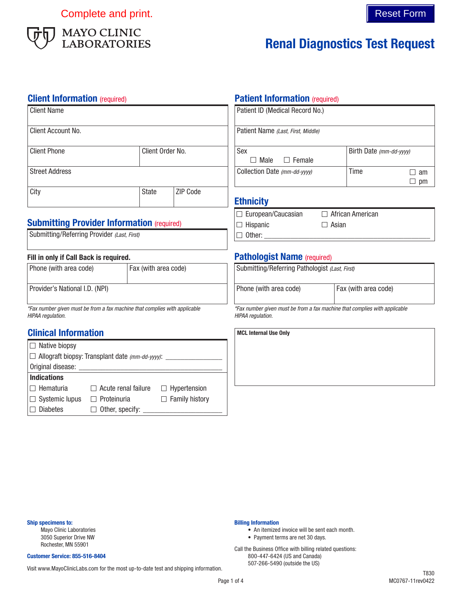Complete and print. The complete and print.



# Renal Diagnostics Test Request

#### **Client Information** (required)

| <b>Client Name</b>    |                  |                 | Pa  |
|-----------------------|------------------|-----------------|-----|
| Client Account No.    |                  |                 | Pa  |
| <b>Client Phone</b>   | Client Order No. |                 | Se  |
| <b>Street Address</b> |                  |                 | Сo  |
| City                  | <b>State</b>     | <b>ZIP Code</b> | Fil |

### **Submitting Provider Information (required)**

| Submitting/Referring Provider (Last, First) |  |  |  |
|---------------------------------------------|--|--|--|
|---------------------------------------------|--|--|--|

#### Fill in only if Call Back is required.

| Phone (with area code)         | Fax (with area code) |
|--------------------------------|----------------------|
| Provider's National I.D. (NPI) |                      |

*\*Fax number given must be from a fax machine that complies with applicable HIPAA regulation.*

### Clinical Information

| $\Box$ Native biopsy                                          |                            |                       |  |  |
|---------------------------------------------------------------|----------------------------|-----------------------|--|--|
| $\Box$ Allograft biopsy: Transplant date (mm-dd-yyyy): ______ |                            |                       |  |  |
| Original disease:                                             |                            |                       |  |  |
| <b>Indications</b>                                            |                            |                       |  |  |
| l□ Hematuria                                                  | $\Box$ Acute renal failure | $\Box$ Hypertension   |  |  |
| $\Box$ Systemic lupus                                         | $\Box$ Proteinuria         | $\Box$ Family history |  |  |
| <b>Diabetes</b>                                               | $\Box$ Other, specify:     |                       |  |  |

#### **Patient Information** (required)

| Patient ID (Medical Record No.)    |                         |    |
|------------------------------------|-------------------------|----|
| Patient Name (Last, First, Middle) |                         |    |
| Sex<br>Male<br>$\Box$ Female       | Birth Date (mm-dd-yyyy) |    |
| Collection Date (mm-dd-yyyy)       | Time                    | am |
|                                    |                         | рm |

### hnicity

| $\Box$ European/Caucasian | $\Box$ African American |
|---------------------------|-------------------------|
| $ \Box$ Hispanic          | $\Box$ Asian            |
| $\Box$ Other:             |                         |

### Pathologist Name (required)

| Submitting/Referring Pathologist (Last, First)                                                  |                      |  |
|-------------------------------------------------------------------------------------------------|----------------------|--|
| Phone (with area code)                                                                          | Fax (with area code) |  |
| *Fax number given must be from a fax machine that complies with applicable<br>HIPAA regulation. |                      |  |

MCL Internal Use Only

#### Ship specimens to:

Mayo Clinic Laboratories 3050 Superior Drive NW Rochester, MN 55901

#### Customer Service: 855-516-8404

507-266-5490 (outside the US) Visit www.MayoClinicLabs.com for the most up-to-date test and shipping information.

#### Billing Information

- An itemized invoice will be sent each month.
- Payment terms are net 30 days.

Call the Business Office with billing related questions: 800-447-6424 (US and Canada)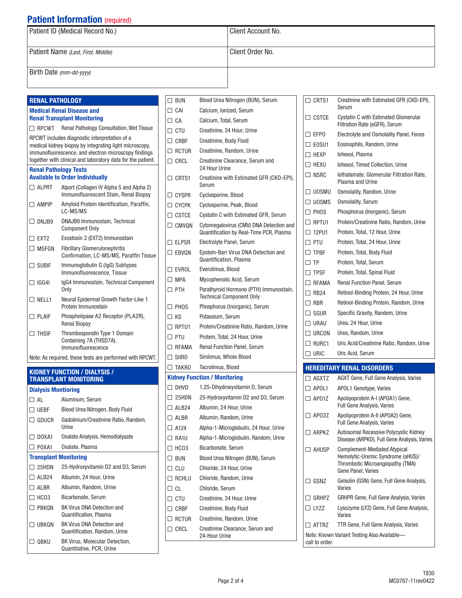## **Patient Information** (required)

Quantification, Plasma □ UBKQN BK Virus DNA Detection and

□ QBKU BK Virus, Molecular Detection, Quantitative, PCR, Urine

Quantification, Random, Urine

| Patient ID (Medical Record No.)    | Client Account No.            |
|------------------------------------|-------------------------------|
| Patient Name (Last, First, Middle) | <sup>1</sup> Client Order No. |
| Birth Date (mm-dd-yyyy)            |                               |

| <b>RENAL PATHOLOGY</b>     |                                                                                                         | $\Box$ BUN      | Blood Urea Nitrogen (BUN), Serum                                          | $\Box$ CRTS1    | Creatinine with Estimated GFR (CKD-EPI),                              |
|----------------------------|---------------------------------------------------------------------------------------------------------|-----------------|---------------------------------------------------------------------------|-----------------|-----------------------------------------------------------------------|
|                            | <b>Medical Renal Disease and</b>                                                                        | $\Box$ CAI      | Calcium, Ionized, Serum                                                   |                 | Serum                                                                 |
|                            | <b>Renal Transplant Monitoring</b>                                                                      | $\Box$ CA       | Calcium, Total, Serum                                                     | $\Box$ CSTCE    | Cystatin C with Estimated Glomerular<br>Filtration Rate (eGFR), Serum |
|                            | $\Box$ RPCWT Renal Pathology Consultation, Wet Tissue                                                   | $\Box$ CTU      | Creatinine, 24 Hour, Urine                                                | $\square$ EFPO  | Electrolyte and Osmolality Panel, Feces                               |
|                            | RPCWT includes diagnostic interpretation of a<br>medical kidney biopsy by integrating light microscopy, | $\Box$ CRBF     | Creatinine, Body Fluid                                                    | $\square$ eosu1 | Eosinophils, Random, Urine                                            |
|                            | immunofluorescence, and electron microscopy findings                                                    | $\Box$ RCTUR    | Creatinine, Random, Urine                                                 | $\Box$ HEXP     | Iohexol, Plasma                                                       |
|                            | together with clinical and laboratory data for the patient.                                             | $\Box$ CRCL     | Creatinine Clearance, Serum and                                           | $\square$ HEXU  | Iohexol, Timed Collection, Urine                                      |
|                            | <b>Renal Pathology Tests</b><br><b>Available to Order Individually</b>                                  |                 | 24 Hour Urine                                                             | $\Box$ NSRC     | lothalamate, Glomerular Filtration Rate,                              |
| $\Box$ Alprt               | Alport (Collagen IV Alpha 5 and Alpha 2)                                                                | $\Box$ CRTS1    | Creatinine with Estimated GFR (CKD-EPI),<br>Serum                         |                 | Plasma and Urine                                                      |
|                            | Immunofluorescent Stain, Renal Biopsy                                                                   | $\Box$ CYSPR    | Cyclosporine, Blood                                                       | $\Box$ UOSMU    | Osmolality, Random, Urine                                             |
| $\Box$ AMPIP               | Amyloid Protein Identification, Paraffin,                                                               | $\Box$ CYCPK    | Cyclosporine, Peak, Blood                                                 | $\square$ UOSMS | <b>Osmolality, Serum</b>                                              |
|                            | LC-MS/MS                                                                                                | $\Box$ CSTCE    | Cystatin C with Estimated GFR, Serum                                      | $\square$ PHOS  | Phosphorus (Inorganic), Serum                                         |
| $\Box$ DNJB9               | DNAJB9 Immunostain, Technical                                                                           | $\Box$ CMVQN    | Cytomegalovirus (CMV) DNA Detection and                                   | $\Box$ RPTU1    | Protein/Creatinine Ratio, Random, Urine                               |
| $\square$ EXT2             | <b>Component Only</b><br>Exostosin 2 (EXT2) Immunostain                                                 |                 | Quantification by Real-Time PCR, Plasma                                   | $\Box$ 12PU1    | Protein, Total, 12 Hour, Urine                                        |
|                            |                                                                                                         | $\square$ ELPSR | Electrolyte Panel, Serum                                                  | $\square$ PTU   | Protein, Total, 24 Hour, Urine                                        |
| $\Box$ MSFGN               | <b>Fibrillary Glomerulonephritis</b><br>Confirmation, LC-MS/MS, Paraffin Tissue                         | $\Box$ EBVQN    | Epstein-Barr Virus DNA Detection and                                      | $\Box$ TPBF     | Protein, Total, Body Fluid                                            |
| $\Box$ SUBIF               | Immunoqlobulin G (IqG) Subtypes                                                                         |                 | Quantification, Plasma                                                    | $\Box$ TP       | Protein, Total, Serum                                                 |
|                            | Immunofluorescence, Tissue                                                                              | $\square$ EVROL | Everolimus, Blood                                                         | $\square$ TPSF  | Protein, Total, Spinal Fluid                                          |
| $\Box$ IGG4I               | IgG4 Immunostain, Technical Component                                                                   | $\Box$ MPA      | Mycophenolic Acid, Serum                                                  | $\Box$ RFAMA    | Renal Function Panel, Serum                                           |
|                            | Only                                                                                                    | $\square$ PTH   | Parathyroid Hormone (PTH) Immunostain,<br><b>Technical Component Only</b> | $\Box$ RB24     | Retinol-Binding Protein, 24 Hour, Urine                               |
| $\square$ nell1            | Neural Epidermal Growth Factor-Like 1<br>Protein Immunostain                                            | $\square$ PHOS  | Phosphorus (Inorganic), Serum                                             | $\Box$ RBR      | Retinol-Binding Protein, Random, Urine                                |
| $\Box$ PLAIF               | Phospholipase A2 Receptor (PLA2R),                                                                      | $\Box$ KS       | Potassium, Serum                                                          | $\Box$ SGUR     | Specific Gravity, Random, Urine                                       |
|                            | <b>Renal Biopsy</b>                                                                                     | $\Box$ RPTU1    | Protein/Creatinine Ratio, Random, Urine                                   | $\Box$ URAU     | Urea, 24 Hour, Urine                                                  |
| $\Box$ THSIF               | Thrombospondin Type 1 Domain                                                                            | $\Box$ PTU      | Protein, Total, 24 Hour, Urine                                            | $\square$ urcon | Urea, Random, Urine                                                   |
|                            | Containing 7A (THSD7A),<br>Immunofluorescence                                                           | $\Box$ RFAMA    | Renal Function Panel, Serum                                               | $\square$ Rurc1 | Uric Acid/Creatinine Ratio, Random, Urine                             |
|                            | Note: As required, these tests are performed with RPCWT.                                                | $\Box$ SIIRO    | Sirolimus, Whole Blood                                                    | $\Box$ uric     | Uric Acid, Serum                                                      |
|                            |                                                                                                         |                 | Tacrolimus, Blood                                                         |                 | <b>HEREDITARY RENAL DISORDERS</b>                                     |
|                            | <b>KIDNEY FUNCTION / DIALYSIS /</b><br><b>TRANSPLANT MONITORING</b>                                     |                 | <b>Kidney Function / Monitoring</b>                                       | $\Box$ AGXTZ    | AGXT Gene, Full Gene Analysis, Varies                                 |
| <b>Dialysis Montioring</b> |                                                                                                         | $\Box$ DHVD     | 1,25-Dihydroxyvitamin D, Serum                                            | $\Box$ APOL1    | APOL1 Genotype, Varies                                                |
| $\Box$ AL                  | Aluminum, Serum                                                                                         | $\Box$ 25HDN    | 25-Hydroxyvitamin D2 and D3, Serum                                        | $\Box$ AP01Z    | Apolipoprotein A-I (APOA1) Gene,                                      |
| $\Box$ vebf                | Blood Urea Nitrogen, Body Fluid                                                                         | $\Box$ ALB24    | Albumin, 24 Hour, Urine                                                   |                 | Full Gene Analysis, Varies                                            |
| $\Box$ GDUCR               | Gadolinium/Creatinine Ratio, Random,                                                                    | $\Box$ ALBR     | Albumin, Random, Urine                                                    | $\Box$ AP02Z    | Apolipoprotein A-II (APOA2) Gene,                                     |
|                            | Urine                                                                                                   | $\Box$ A124     | Alpha-1-Microglobulin, 24 Hour, Urine                                     |                 | Full Gene Analysis, Varies<br>Autosomal Recessive Polycystic Kidney   |
| $\Box$ DOXA1               | Oxalate Analysis, Hemodialysate                                                                         | $\square$ RA1U  | Alpha-1-Microglobulin, Random, Urine                                      | $\Box$ ARPKZ    | Disease (ARPKD), Full Gene Analysis, Varies                           |
| $\Box$ POXA1               | Oxalate, Plasma                                                                                         | $\Box$ HCO3     | Bicarbonate, Serum                                                        | $\Box$ AHUSP    | <b>Complement-Mediated Atypical</b>                                   |
|                            | <b>Transplant Monitoring</b>                                                                            | $\Box$ BUN      | Blood Urea Nitrogen (BUN), Serum                                          |                 | Hemolytic-Uremic Syndrome (aHUS)/                                     |
| $\Box$ 25HDN               | 25-Hydroxyvitamin D2 and D3, Serum                                                                      | $\Box$ CLU      | Chloride, 24 Hour, Urine                                                  |                 | Thrombotic Microangiopathy (TMA)<br>Gene Panel, Varies                |
| $\Box$ ALB24               | Albumin, 24 Hour, Urine                                                                                 | $\Box$ RCHLU    | Chloride, Random, Urine                                                   | $\Box$ GSNZ     | Gelsolin (GSN) Gene, Full Gene Analysis,                              |
| $\Box$ ALBR                | Albumin, Random, Urine                                                                                  | $\Box$ CL       | Chloride, Serum                                                           |                 | Varies                                                                |
| $\Box$ HCO3                | Bicarbonate, Serum                                                                                      | $\Box$ CTU      | Creatinine, 24 Hour, Urine                                                | $\Box$ GRHPZ    | <b>GRHPR Gene, Full Gene Analysis, Varies</b>                         |
| $\Box$ PBKQN               | BK Virus DNA Detection and                                                                              | $\Box$ CRBF     | Creatinine, Body Fluid                                                    | $\Box$ LYZZ     | Lysozyme (LYZ) Gene, Full Gene Analysis,                              |

Varies

call to order.

ATTRZ TTR Gene, Full Gene Analysis, Varies Note: Known Variant Testing Also Available—

RCTUR Creatinine, Random, Urine CRCL Creatinine Clearance, Serum and 24-Hour Urine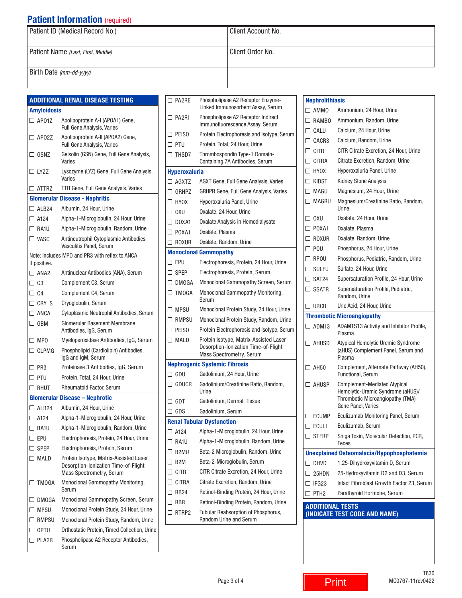# **Patient Information (required)**

| Patient ID (Medical Record No.)    | Client Account No. |
|------------------------------------|--------------------|
| Patient Name (Last, First, Middle) | Client Order No.   |
|                                    |                    |
| Birth Date (mm-dd-yyyy)            |                    |

|   |                 | <b>ADDITIONAL RENAL DISEASE TESTING</b>                                 |
|---|-----------------|-------------------------------------------------------------------------|
|   | Amyloidosis     |                                                                         |
|   | $\Box$ AP01Z    | Apolipoprotein A-I (APOA1) Gene,<br>Full Gene Analysis, Varies          |
|   | $\Box$ AP02Z    | Apolipoprotein A-II (APOA2) Gene,<br><b>Full Gene Analysis, Varies</b>  |
|   | $\Box$ GSNZ     | Gelsolin (GSN) Gene, Full Gene Analysis,<br>Varies                      |
|   | $\Box$ LYZZ     | Lysozyme (LYZ) Gene, Full Gene Analysis,<br>Varies                      |
|   | $\Box$ attrz    | <b>TTR Gene, Full Gene Analysis, Varies</b>                             |
|   |                 | <b>Glomerular Disease - Nephritic</b>                                   |
|   | $\Box$ ALB24    | Albumin, 24 Hour, Urine                                                 |
|   | $\Box$ A124     | Alpha-1-Microglobulin, 24 Hour, Urine                                   |
|   | □ RA1U          | Alpha-1-Microglobulin, Random, Urine                                    |
|   | $\square$ vasc  | Antineutrophil Cytoplasmic Antibodies<br>Vasculitis Panel, Serum        |
|   | if positive.    | Note: Includes MPO and PR3 with reflex to ANCA                          |
|   | $\Box$ ANA2     | Antinuclear Antibodies (ANA), Serum                                     |
|   | $\Box$ C3       | Complement C3, Serum                                                    |
|   | □ C4            | Complement C4, Serum                                                    |
|   | $\Box$ CRY S    | Cryoglobulin, Serum                                                     |
|   | $\Box$ ANCA     | Cytoplasmic Neutrophil Antibodies, Serum                                |
|   | $\Box$ GBM      | Glomerular Basement Membrane                                            |
|   |                 | Antibodies, IgG, Serum                                                  |
|   | $\Box$ MPO      | Myeloperoxidase Antibodies, IgG, Serum                                  |
|   | $\Box$ CLPMG    | Phospholipid (Cardiolipin) Antibodies,<br>IgG and IgM, Serum            |
|   | □ PR3           | Proteinase 3 Antibodies, IgG, Serum                                     |
|   | $\Box$ PTU      | Protein, Total, 24 Hour, Urine                                          |
|   | $\Box$ rhut     | <b>Rheumatoid Factor, Serum</b>                                         |
|   |                 | <b>Glomerular Disease - Nephrotic</b>                                   |
|   | $\Box$ ALB24    | Albumin, 24 Hour, Urine                                                 |
|   | $\Box$ A124     | Alpha-1-Microglobulin, 24 Hour, Urine                                   |
|   | $\square$ RA1U  | Alpha-1-Microglobulin, Random, Urine                                    |
|   | $\Box$ epu      | Electrophoresis, Protein, 24 Hour, Urine                                |
|   | $\square$ spep  | Electrophoresis, Protein, Serum                                         |
|   | $\Box$ MALD     | Protein Isotype, Matrix-Assisted Laser                                  |
|   |                 | Desorption-Ionization Time-of-Flight<br><b>Mass Spectrometry, Serum</b> |
|   | $\Box$ TMOGA    | Monoclonal Gammopathy Monitoring,<br>Serum                              |
|   | $\square$ DMOGA | Monoclonal Gammopathy Screen, Serum                                     |
|   | $\Box$ MPSU     | Monoclonal Protein Study, 24 Hour, Urine                                |
| П | RMPSU           | Monoclonal Protein Study, Random, Urine                                 |
|   | $\Box$ optu     | Orthostatic Protein, Timed Collection, Urine                            |
|   | $\Box$ PLA2R    | Phospholipase A2 Receptor Antibodies,<br>Serum                          |

|              | $\Box$ PA2RE         | Phospholipase A2 Receptor Enzyme-<br>Linked Immunosorbent Assay, Serum                                     |
|--------------|----------------------|------------------------------------------------------------------------------------------------------------|
|              | $\Box$ PA2RI         | Phospholipase A2 Receptor Indirect<br>Immunofluorescence Assay, Serum                                      |
|              | $\Box$ PEISO         | Protein Electrophoresis and Isotype, Serum                                                                 |
|              | $\Box$ PTU           | Protein, Total, 24 Hour, Urine                                                                             |
|              | $\Box$ ThSD7         | Thrombospondin Type-1 Domain-<br>Containing 7A Antibodies, Serum                                           |
|              | <b>Hyperoxaluria</b> |                                                                                                            |
|              | $\Box$ agxtz         | AGXT Gene, Full Gene Analysis, Varies                                                                      |
|              | $\Box$ Grhpz         | GRHPR Gene, Full Gene Analysis, Varies                                                                     |
|              | $\Box$ HYOX          | Hyperoxaluria Panel, Urine                                                                                 |
|              | □ OXU                | Oxalate, 24 Hour, Urine                                                                                    |
|              | $\Box$ DOXA1         | Oxalate Analysis in Hemodialysate                                                                          |
|              | $\Box$ POXA1         | Oxalate, Plasma                                                                                            |
|              | $\Box$ Roxur         | Oxalate, Random, Urine                                                                                     |
|              |                      | <b>Monoclonal Gammopathy</b>                                                                               |
|              | $\Box$ epu           | Electrophoresis, Protein, 24 Hour, Urine                                                                   |
|              | $\Box$ SPEP          | Electrophoresis, Protein, Serum                                                                            |
|              | $\Box$ DMOGA         | Monoclonal Gammopathy Screen, Serum                                                                        |
|              | $\Box$ TMOGA         | Monoclonal Gammopathy Monitoring,<br>Serum                                                                 |
|              | $\Box$ MPSU          | Monoclonal Protein Study, 24 Hour, Urine                                                                   |
|              | $\Box$ RMPSU         | Monoclonal Protein Study, Random, Urine                                                                    |
|              | $\Box$ PEISO         | Protein Electrophoresis and Isotype, Serum                                                                 |
|              | $\Box$ MALD          | Protein Isotype, Matrix-Assisted Laser<br>Desorption-Ionization Time-of-Flight<br>Mass Spectrometry, Serum |
|              |                      | <b>Nephrogenic Systemic Fibrosis</b>                                                                       |
|              | $\Box$ GDU           | Gadolinium, 24 Hour, Urine                                                                                 |
|              | $\Box$ GDUCR         | Gadolinium/Creatinine Ratio, Random,<br>Urine                                                              |
|              | $\Box$ GDT           | Gadolinium, Dermal, Tissue                                                                                 |
|              | $\square$ GDS        | Gadolinium, Serum                                                                                          |
|              |                      | <b>Renal Tubular Dysfunction</b>                                                                           |
|              | $\square$ A124       | Alpha-1-Microglobulin, 24 Hour, Urine                                                                      |
|              | $\Box$ RA1U          | Alpha-1-Microglobulin, Random, Urine                                                                       |
|              | $\square$ B2MU       | Beta-2 Microglobulin, Random, Urine                                                                        |
|              | $\Box$ B2M           | Beta-2-Microglobulin, Serum                                                                                |
| $\Box$       | <b>CITR</b>          | CITR Citrate Excretion, 24 Hour, Urine                                                                     |
| П.           | <b>CITRA</b>         | Citrate Excretion, Random, Urine                                                                           |
|              | $\Box$ RB24          | Retinol-Binding Protein, 24 Hour, Urine                                                                    |
|              | $\Box$ RBR           | Retinol-Binding Protein, Random, Urine                                                                     |
| $\mathbf{L}$ | RTRP2                | Tubular Reabsorption of Phosphorus,<br><b>Random Urine and Serum</b>                                       |

| <b>Nephrolithiasis</b>                           |                                                                                                                                    |
|--------------------------------------------------|------------------------------------------------------------------------------------------------------------------------------------|
| $\Box$ AMMO                                      | Ammonium, 24 Hour, Urine                                                                                                           |
| $\Box$ RAMBO                                     | Ammonium, Random, Urine                                                                                                            |
| $\Box$ CALU                                      | Calcium, 24 Hour, Urine                                                                                                            |
| $\Box$ CACR3                                     | Calcium, Random, Urine                                                                                                             |
| $\Box$ citr                                      | CITR Citrate Excretion, 24 Hour, Urine                                                                                             |
| $\Box$ CITRA                                     | Citrate Excretion, Random, Urine                                                                                                   |
| $\Box$ HYOX                                      | Hyperoxaluria Panel, Urine                                                                                                         |
| $\Box$ kidst                                     | <b>Kidney Stone Analysis</b>                                                                                                       |
| $\Box$ Magu                                      | Magnesium, 24 Hour, Urine                                                                                                          |
| $\Box$ Magru                                     | Magnesium/Creatinine Ratio, Random,<br>Urine                                                                                       |
| $\Box$ OXU                                       | Oxalate, 24 Hour, Urine                                                                                                            |
| $\Box$ POXA1                                     | Oxalate, Plasma                                                                                                                    |
| $\Box$ Roxur                                     | Oxalate, Random, Urine                                                                                                             |
| $\Box$ POU                                       | Phosphorus, 24 Hour, Urine                                                                                                         |
| $\Box$ RPOU                                      | Phosphorus, Pediatric, Random, Urine                                                                                               |
| $\Box$ sulfu                                     | Sulfate, 24 Hour, Urine                                                                                                            |
| $\Box$ SAT24                                     | Supersaturation Profile, 24 Hour, Urine                                                                                            |
| $\Box$ SSATR                                     | Supersaturation Profile, Pediatric,<br>Random, Urine                                                                               |
| $\Box$ urcu                                      | Uric Acid, 24 Hour, Urine                                                                                                          |
| <b>Thrombotic Microangiopathy</b>                |                                                                                                                                    |
| $\Box$ ADM13                                     | ADAMTS13 Activity and Inhibitor Profile,<br>Plasma                                                                                 |
| $\Box$ ahusd                                     | Atypical Hemolytic Uremic Syndrome<br>(aHUS) Complement Panel, Serum and<br>Plasma                                                 |
| $\Box$ AH50                                      | Complement, Alternate Pathway (AH50),<br><b>Functional, Serum</b>                                                                  |
| $\Box$ AHUSP                                     | <b>Complement-Mediated Atypical</b><br>Hemolytic-Uremic Syndrome (aHUS)/<br>Thrombotic Microangiopathy (TMA)<br>Gene Panel, Varies |
| $\Box$ ecump                                     | Eculizumab Monitoring Panel, Serum                                                                                                 |
| $\Box$ ECULI                                     | Eculizumab, Serum                                                                                                                  |
| $\Box$ stfrp                                     | Shiga Toxin, Molecular Detection, PCR,<br>Feces                                                                                    |
| <b>Unexplained Osteomalacia/Hypophosphatemia</b> |                                                                                                                                    |
| $\Box$ DHVD                                      | 1,25-Dihydroxyvitamin D, Serum                                                                                                     |
| $\square$ 25HDN                                  | 25-Hydroxyvitamin D2 and D3, Serum                                                                                                 |
| □ IFG23                                          | Intact Fibroblast Growth Factor 23, Serum                                                                                          |
| $\Box$ PTH2                                      | Parathyroid Hormone, Serum                                                                                                         |
|                                                  |                                                                                                                                    |

ADDITIONAL TESTS (INDICATE TEST CODE AND NAME)

**Print**